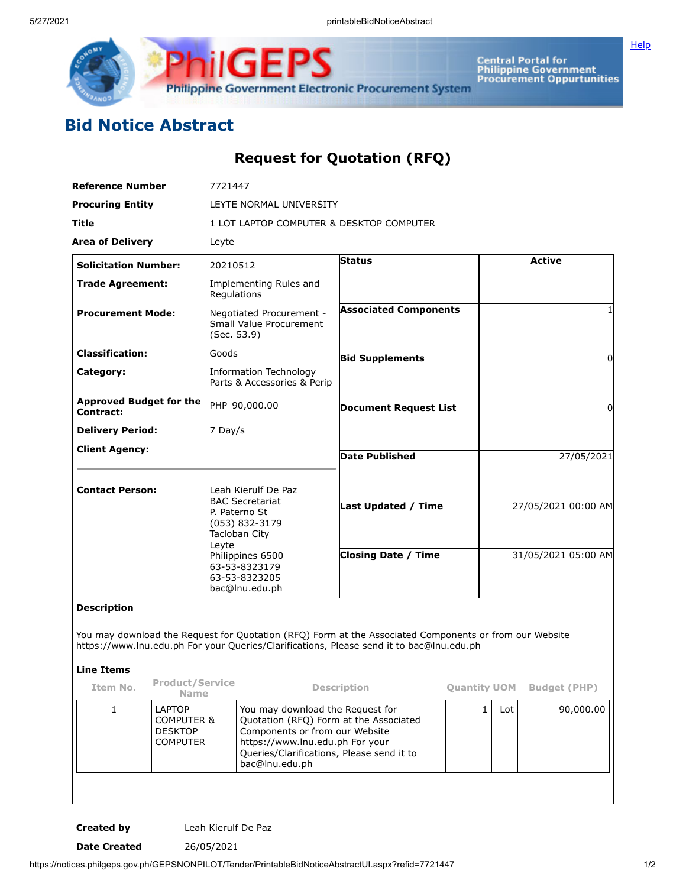

**iliGEPS Philippine Government Electronic Procurement System** 

**Central Portal for<br>Philippine Government<br>Procurement Oppurtunities** 

## **Bid Notice Abstract**

## **Request for Quotation (RFQ)**

| <b>Reference Number</b>                                                                                                                                                                            | 7721447                                                                                                                                          |                                                              |                                                                                     |                     |                     |                     |  |
|----------------------------------------------------------------------------------------------------------------------------------------------------------------------------------------------------|--------------------------------------------------------------------------------------------------------------------------------------------------|--------------------------------------------------------------|-------------------------------------------------------------------------------------|---------------------|---------------------|---------------------|--|
| <b>Procuring Entity</b>                                                                                                                                                                            |                                                                                                                                                  | LEYTE NORMAL UNIVERSITY                                      |                                                                                     |                     |                     |                     |  |
| Title                                                                                                                                                                                              |                                                                                                                                                  | 1 LOT LAPTOP COMPUTER & DESKTOP COMPUTER                     |                                                                                     |                     |                     |                     |  |
| <b>Area of Delivery</b>                                                                                                                                                                            | Leyte                                                                                                                                            |                                                              |                                                                                     |                     |                     |                     |  |
| <b>Solicitation Number:</b>                                                                                                                                                                        | 20210512                                                                                                                                         |                                                              | Status                                                                              |                     | <b>Active</b>       |                     |  |
| <b>Trade Agreement:</b>                                                                                                                                                                            | Regulations                                                                                                                                      | Implementing Rules and                                       |                                                                                     |                     |                     |                     |  |
| <b>Procurement Mode:</b>                                                                                                                                                                           | (Sec. 53.9)                                                                                                                                      | Negotiated Procurement -<br>Small Value Procurement          | <b>Associated Components</b>                                                        |                     |                     |                     |  |
| <b>Classification:</b>                                                                                                                                                                             | Goods                                                                                                                                            |                                                              | <b>Bid Supplements</b>                                                              |                     |                     | 0                   |  |
| Category:                                                                                                                                                                                          |                                                                                                                                                  | <b>Information Technology</b><br>Parts & Accessories & Perip |                                                                                     |                     |                     |                     |  |
| <b>Approved Budget for the</b><br><b>Contract:</b>                                                                                                                                                 |                                                                                                                                                  | PHP 90,000.00                                                | <b>Document Request List</b>                                                        |                     |                     | 0                   |  |
| <b>Delivery Period:</b>                                                                                                                                                                            | 7 Day/s                                                                                                                                          |                                                              |                                                                                     |                     |                     |                     |  |
| <b>Client Agency:</b>                                                                                                                                                                              |                                                                                                                                                  |                                                              | <b>Date Published</b>                                                               |                     | 27/05/2021          |                     |  |
|                                                                                                                                                                                                    |                                                                                                                                                  |                                                              |                                                                                     |                     |                     |                     |  |
| <b>Contact Person:</b>                                                                                                                                                                             |                                                                                                                                                  | Leah Kierulf De Paz                                          |                                                                                     |                     |                     |                     |  |
|                                                                                                                                                                                                    | P. Paterno St                                                                                                                                    | <b>BAC Secretariat</b>                                       | <b>Last Updated / Time</b>                                                          |                     | 27/05/2021 00:00 AM |                     |  |
|                                                                                                                                                                                                    |                                                                                                                                                  | (053) 832-3179<br>Tacloban City                              |                                                                                     |                     |                     |                     |  |
|                                                                                                                                                                                                    | Leyte                                                                                                                                            | Philippines 6500                                             | <b>Closing Date / Time</b>                                                          |                     | 31/05/2021 05:00 AM |                     |  |
|                                                                                                                                                                                                    |                                                                                                                                                  | 63-53-8323179<br>63-53-8323205                               |                                                                                     |                     |                     |                     |  |
|                                                                                                                                                                                                    |                                                                                                                                                  | bac@lnu.edu.ph                                               |                                                                                     |                     |                     |                     |  |
| <b>Description</b>                                                                                                                                                                                 |                                                                                                                                                  |                                                              |                                                                                     |                     |                     |                     |  |
| You may download the Request for Quotation (RFQ) Form at the Associated Components or from our Website<br>https://www.lnu.edu.ph For your Queries/Clarifications, Please send it to bac@lnu.edu.ph |                                                                                                                                                  |                                                              |                                                                                     |                     |                     |                     |  |
| <b>Line Items</b>                                                                                                                                                                                  |                                                                                                                                                  |                                                              |                                                                                     |                     |                     |                     |  |
| Item No.                                                                                                                                                                                           | <b>Product/Service</b><br><b>Name</b>                                                                                                            |                                                              | <b>Description</b>                                                                  | <b>Quantity UOM</b> |                     | <b>Budget (PHP)</b> |  |
| <b>LAPTOP</b><br>1<br><b>DESKTOP</b><br><b>COMPUTER</b>                                                                                                                                            | You may download the Request for<br><b>COMPUTER &amp;</b><br>Components or from our Website<br>https://www.lnu.edu.ph For your<br>bac@lnu.edu.ph |                                                              | Quotation (RFQ) Form at the Associated<br>Queries/Clarifications, Please send it to |                     | Lot<br>$\mathbf{1}$ | 90,000.00           |  |
|                                                                                                                                                                                                    |                                                                                                                                                  |                                                              |                                                                                     |                     |                     |                     |  |

**Created by** Leah Kierulf De Paz

**Date Created** 26/05/2021